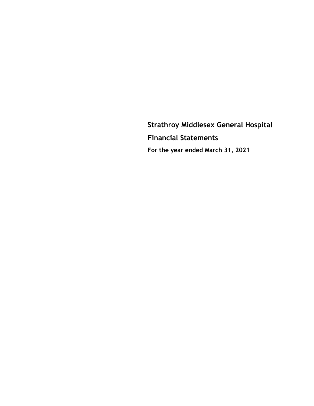**Strathroy Middlesex General Hospital Financial Statements For the year ended March 31, 2021**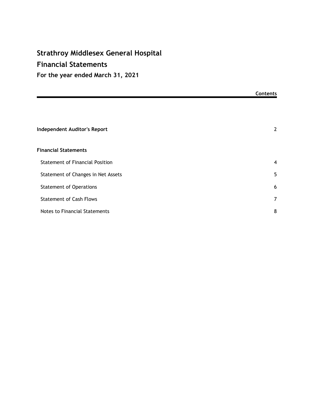## **Financial Statements**

**For the year ended March 31, 2021**

|                                        | Contents       |
|----------------------------------------|----------------|
|                                        |                |
| <b>Independent Auditor's Report</b>    | $\mathbf{2}$   |
| <b>Financial Statements</b>            |                |
| <b>Statement of Financial Position</b> | $\overline{4}$ |
| Statement of Changes in Net Assets     | 5              |
| <b>Statement of Operations</b>         | 6              |
| <b>Statement of Cash Flows</b>         | 7              |
| <b>Notes to Financial Statements</b>   | 8              |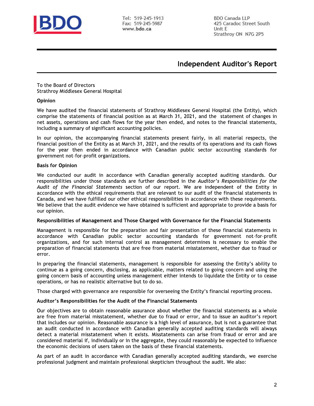

Tel: 519-245-1913 Fax: 519-245-5987 www.bdo.ca

BDO Canada LLP 425 Caradoc Street South Unit E Strathroy ON N7G 2P5

### **Independent Auditor's Report**

To the Board of Directors **Strathrov Middlesex General Hospital** 

#### **Opinion**

We have audited the financial statements of Strathroy Middlesex General Hospital (the Entity), which comprise the statements of financial position as at March 31, 2021, and the statement of changes in net assets, operations and cash flows for the year then ended, and notes to the financial statements, including a summary of significant accounting policies.

In our opinion, the accompanying financial statements present fairly, in all material respects, the financial position of the Entity as at March 31, 2021, and the results of its operations and its cash flows for the year then ended in accordance with Canadian public sector accounting standards for government not-for-profit organizations.

#### **Basis for Opinion**

We conducted our audit in accordance with Canadian generally accepted auditing standards. Our responsibilities under those standards are further described in the Auditor's Responsibilities for the Audit of the Financial Statements section of our report. We are independent of the Entity in accordance with the ethical requirements that are relevant to our audit of the financial statements in Canada, and we have fulfilled our other ethical responsibilities in accordance with these requirements. We believe that the audit evidence we have obtained is sufficient and appropriate to provide a basis for our opinion.

#### Responsibilities of Management and Those Charged with Governance for the Financial Statements

Management is responsible for the preparation and fair presentation of these financial statements in accordance with Canadian public sector accounting standards for government not-for-profit organizations, and for such internal control as management determines is necessary to enable the preparation of financial statements that are free from material misstatement, whether due to fraud or error.

In preparing the financial statements, management is responsible for assessing the Entity's ability to continue as a going concern, disclosing, as applicable, matters related to going concern and using the going concern basis of accounting unless management either intends to liquidate the Entity or to cease operations, or has no realistic alternative but to do so.

Those charged with governance are responsible for overseeing the Entity's financial reporting process.

#### Auditor's Responsibilities for the Audit of the Financial Statements

Our objectives are to obtain reasonable assurance about whether the financial statements as a whole are free from material misstatement, whether due to fraud or error, and to issue an auditor's report that includes our opinion. Reasonable assurance is a high level of assurance, but is not a guarantee that an audit conducted in accordance with Canadian generally accepted auditing standards will always detect a material misstatement when it exists. Misstatements can arise from fraud or error and are considered material if, individually or in the aggregate, they could reasonably be expected to influence the economic decisions of users taken on the basis of these financial statements.

As part of an audit in accordance with Canadian generally accepted auditing standards, we exercise professional judgment and maintain professional skepticism throughout the audit. We also: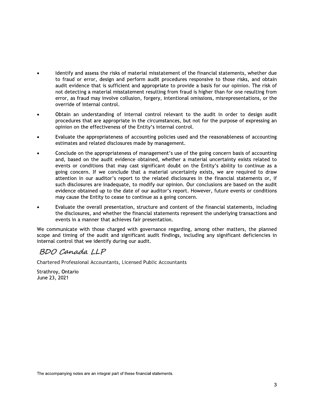- Identify and assess the risks of material misstatement of the financial statements, whether due to fraud or error, design and perform audit procedures responsive to those risks, and obtain audit evidence that is sufficient and appropriate to provide a basis for our opinion. The risk of not detecting a material misstatement resulting from fraud is higher than for one resulting from error, as fraud may involve collusion, forgery, intentional omissions, misrepresentations, or the override of internal control.
- Obtain an understanding of internal control relevant to the audit in order to design audit procedures that are appropriate in the circumstances, but not for the purpose of expressing an opinion on the effectiveness of the Entity's internal control.
- Evaluate the appropriateness of accounting policies used and the reasonableness of accounting estimates and related disclosures made by management.
- Conclude on the appropriateness of management's use of the going concern basis of accounting and, based on the audit evidence obtained, whether a material uncertainty exists related to events or conditions that may cast significant doubt on the Entity's ability to continue as a going concern. If we conclude that a material uncertainty exists, we are required to draw attention in our auditor's report to the related disclosures in the financial statements or, if such disclosures are inadequate, to modify our opinion. Our conclusions are based on the audit evidence obtained up to the date of our auditor's report. However, future events or conditions may cause the Entity to cease to continue as a going concern.
- Evaluate the overall presentation, structure and content of the financial statements, including the disclosures, and whether the financial statements represent the underlying transactions and events in a manner that achieves fair presentation.

We communicate with those charged with governance regarding, among other matters, the planned scope and timing of the audit and significant audit findings, including any significant deficiencies in internal control that we identify during our audit.

## BDO Canada LLP

Chartered Professional Accountants, Licensed Public Accountants

Strathroy, Ontario June 23, 2021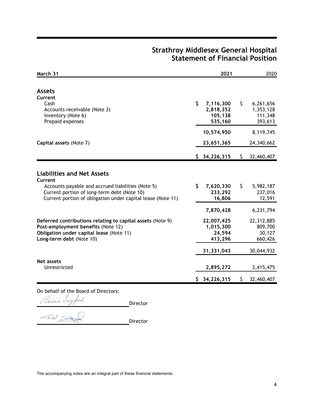### **Strathroy Middlesex General Hospital Statement of Financial Position**

| March 31                                                                                                                                                                                                        | 2021                                                      |     | 2020                                                    |
|-----------------------------------------------------------------------------------------------------------------------------------------------------------------------------------------------------------------|-----------------------------------------------------------|-----|---------------------------------------------------------|
| <b>Assets</b><br>Current<br>Cash<br>Accounts receivable (Note 3)<br>Inventory (Note 6)<br>Prepaid expenses                                                                                                      | \$<br>7,116,300<br>2,818,352<br>105,138<br>535,160        | \$  | 6,261,656<br>1,353,128<br>111,348<br>393,613            |
| Capital assets (Note 7)                                                                                                                                                                                         | 10,574,950<br>23,651,365                                  |     | 8,119,745<br>24,340,662                                 |
|                                                                                                                                                                                                                 | \$34,226,315                                              | \$. | 32,460,407                                              |
| <b>Liabilities and Net Assets</b><br>Current<br>Accounts payable and accrued liabilities (Note 5)<br>Current portion of long-term debt (Note 10)<br>Current portion of obligation under capital lease (Note 11) | \$<br>7,620,330<br>233,292<br>16,806                      | \$  | 5,982,187<br>237,016<br>12,591                          |
| Deferred contributions relating to capital assets (Note 9)<br>Post-employment benefits (Note 12)<br>Obligation under capital lease (Note 11)<br>Long-term debt (Note 10)                                        | 7,870,428<br>22,007,425<br>1,015,300<br>24,594<br>413,296 |     | 6,231,794<br>22,312,885<br>809,700<br>30,127<br>660,426 |
| <b>Net assets</b><br>Unrestricted                                                                                                                                                                               | 31,331,043<br>2,895,272                                   |     | 30,044,932<br>2,415,475                                 |
|                                                                                                                                                                                                                 | \$34,226,315                                              | Ş.  | 32,460,407                                              |

Director

On behalf of the Board of Directors:<br>Bonnie Jay ford<br>Tool Stand Director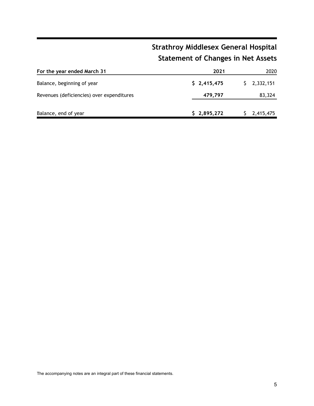# **Strathroy Middlesex General Hospital Statement of Changes in Net Assets**

| For the year ended March 31<br>2021       |             | 2020                      |  |
|-------------------------------------------|-------------|---------------------------|--|
| Balance, beginning of year                | \$2,415,475 | $\frac{5}{2}$ , 2,332,151 |  |
| Revenues (deficiencies) over expenditures | 479,797     | 83,324                    |  |
| Balance, end of year                      | \$2,895,272 | 2,415,475                 |  |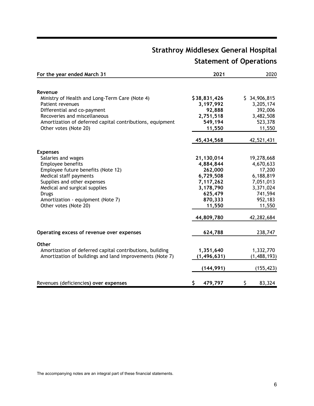# **Strathroy Middlesex General Hospital Statement of Operations**

| For the year ended March 31                                                                                                                                                                                                                                              | 2021                                                                                                                    | 2020                                                                                                                   |
|--------------------------------------------------------------------------------------------------------------------------------------------------------------------------------------------------------------------------------------------------------------------------|-------------------------------------------------------------------------------------------------------------------------|------------------------------------------------------------------------------------------------------------------------|
|                                                                                                                                                                                                                                                                          |                                                                                                                         |                                                                                                                        |
| Revenue<br>Ministry of Health and Long-Term Care (Note 4)<br><b>Patient revenues</b><br>Differential and co-payment<br>Recoveries and miscellaneous<br>Amortization of deferred capital contributions, equipment<br>Other votes (Note 20)                                | \$38,831,426<br>3,197,992<br>92,888<br>2,751,518<br>549,194<br>11,550                                                   | \$34,906,815<br>3,205,174<br>392,006<br>3,482,508<br>523,378<br>11,550                                                 |
|                                                                                                                                                                                                                                                                          | 45,434,568                                                                                                              | 42,521,431                                                                                                             |
| <b>Expenses</b><br>Salaries and wages<br>Employee benefits<br>Employee future benefits (Note 12)<br>Medical staff payments<br>Supplies and other expenses<br>Medical and surgical supplies<br><b>Drugs</b><br>Amortization - equipment (Note 7)<br>Other votes (Note 20) | 21,130,014<br>4,884,844<br>262,000<br>6,729,508<br>7,117,262<br>3,178,790<br>625,479<br>870,333<br>11,550<br>44,809,780 | 19,278,668<br>4,670,633<br>17,200<br>6,188,819<br>7,051,013<br>3,371,024<br>741,594<br>952,183<br>11,550<br>42,282,684 |
| Operating excess of revenue over expenses                                                                                                                                                                                                                                | 624,788                                                                                                                 | 238,747                                                                                                                |
| <b>Other</b><br>Amortization of deferred capital contributions, building<br>Amortization of buildings and land improvements (Note 7)                                                                                                                                     | 1,351,640<br>(1, 496, 631)<br>(144, 991)                                                                                | 1,332,770<br>(1,488,193)<br>(155, 423)                                                                                 |
| Revenues (deficiencies) over expenses                                                                                                                                                                                                                                    | 479,797<br>\$                                                                                                           | 83,324<br>\$                                                                                                           |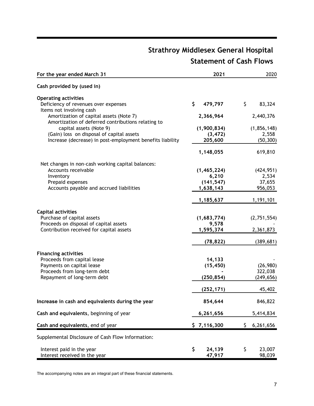# **Strathroy Middlesex General Hospital Statement of Cash Flows**

| For the year ended March 31                                                                                                                            | 2021                               | 2020                                |
|--------------------------------------------------------------------------------------------------------------------------------------------------------|------------------------------------|-------------------------------------|
| Cash provided by (used in)                                                                                                                             |                                    |                                     |
| <b>Operating activities</b><br>Deficiency of revenues over expenses                                                                                    | \$<br>479,797                      | \$<br>83,324                        |
| Items not involving cash<br>Amortization of capital assets (Note 7)<br>Amortization of deferred contributions relating to                              | 2,366,964                          | 2,440,376                           |
| capital assets (Note 9)<br>(Gain) loss on disposal of capital assets<br>Increase (decrease) in post-employment benefits liability                      | (1,900,834)<br>(3, 472)<br>205,600 | (1, 856, 148)<br>2,558<br>(50, 300) |
|                                                                                                                                                        | 1,148,055                          | 619,810                             |
| Net changes in non-cash working capital balances:<br>Accounts receivable                                                                               | (1, 465, 224)                      | (424, 951)                          |
| Inventory<br>Prepaid expenses<br>Accounts payable and accrued liabilities                                                                              | 6,210<br>(141, 547)<br>1,638,143   | 2,534<br>37,655<br>956,053          |
|                                                                                                                                                        | 1,185,637                          | 1,191,101                           |
| <b>Capital activities</b><br>Purchase of capital assets<br>Proceeds on disposal of capital assets                                                      | (1,683,774)<br>9,578               | (2,751,554)                         |
| Contribution received for capital assets                                                                                                               | 1,595,374<br>(78, 822)             | 2,361,873<br>(389, 681)             |
| <b>Financing activities</b><br>Proceeds from capital lease<br>Payments on capital lease<br>Proceeds from long-term debt<br>Repayment of long-term debt | 14,133<br>(15, 450)<br>(250,854)   | (26,980)<br>322,038<br>(249, 656)   |
|                                                                                                                                                        | (252, 171)                         | 45,402                              |
| Increase in cash and equivalents during the year                                                                                                       | 854,644                            | 846,822                             |
| Cash and equivalents, beginning of year                                                                                                                | 6,261,656                          | 5,414,834                           |
| Cash and equivalents, end of year                                                                                                                      | \$7,116,300                        | 6,261,656<br>\$.                    |
| Supplemental Disclosure of Cash Flow Information:                                                                                                      |                                    |                                     |
| Interest paid in the year<br>Interest received in the year                                                                                             | \$<br>24,139<br>47,917             | \$<br>23,007<br>98,039              |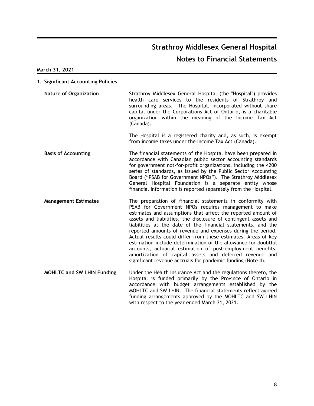MOHLTC and SW LHIN. The financial statements reflect agreed funding arrangements approved by the MOHLTC and SW LHIN

with respect to the year ended March 31, 2021.

**March 31, 2021**

| 1. Significant Accounting Policies |                                                                                                                                                                                                                                                                                                                                                                                                                                                                                                                                                                                                                                                                                                                   |
|------------------------------------|-------------------------------------------------------------------------------------------------------------------------------------------------------------------------------------------------------------------------------------------------------------------------------------------------------------------------------------------------------------------------------------------------------------------------------------------------------------------------------------------------------------------------------------------------------------------------------------------------------------------------------------------------------------------------------------------------------------------|
| <b>Nature of Organization</b>      | Strathroy Middlesex General Hospital (the "Hospital") provides<br>health care services to the residents of Strathroy and<br>surrounding areas. The Hospital, incorporated without share<br>capital under the Corporations Act of Ontario, is a charitable<br>organization within the meaning of the Income Tax Act<br>(Canada).                                                                                                                                                                                                                                                                                                                                                                                   |
|                                    | The Hospital is a registered charity and, as such, is exempt<br>from income taxes under the Income Tax Act (Canada).                                                                                                                                                                                                                                                                                                                                                                                                                                                                                                                                                                                              |
| <b>Basis of Accounting</b>         | The financial statements of the Hospital have been prepared in<br>accordance with Canadian public sector accounting standards<br>for government not-for-profit organizations, including the 4200<br>series of standards, as issued by the Public Sector Accounting<br>Board ("PSAB for Government NPOs"). The Strathroy Middlesex<br>General Hospital Foundation is a separate entity whose<br>financial information is reported separately from the Hospital.                                                                                                                                                                                                                                                    |
| <b>Management Estimates</b>        | The preparation of financial statements in conformity with<br>PSAB for Government NPOs requires management to make<br>estimates and assumptions that affect the reported amount of<br>assets and liabilities, the disclosure of contingent assets and<br>liabilities at the date of the financial statements, and the<br>reported amounts of revenue and expenses during the period.<br>Actual results could differ from these estimates. Areas of key<br>estimation include determination of the allowance for doubtful<br>accounts, actuarial estimation of post-employment benefits,<br>amortization of capital assets and deferred revenue and<br>significant revenue accruals for pandemic funding (Note 4). |
| <b>MOHLTC and SW LHIN Funding</b>  | Under the Health Insurance Act and the regulations thereto, the<br>Hospital is funded primarily by the Province of Ontario in<br>accordance with budget arrangements established by the                                                                                                                                                                                                                                                                                                                                                                                                                                                                                                                           |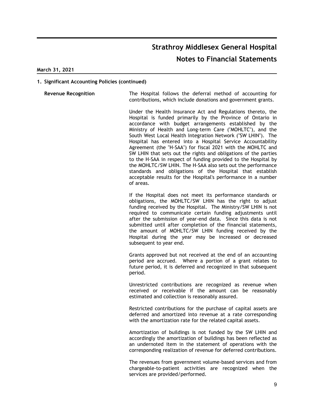**March 31, 2021**

#### **1. Significant Accounting Policies (continued)**

**Revenue Recognition** The Hospital follows the deferral method of accounting for contributions, which include donations and government grants.

> Under the Health Insurance Act and Regulations thereto, the Hospital is funded primarily by the Province of Ontario in accordance with budget arrangements established by the Ministry of Health and Long-term Care ("MOHLTC"), and the South West Local Health Integration Network ("SW LHIN"). The Hospital has entered into a Hospital Service Accountability Agreement (the "H-SAA") for fiscal 2021 with the MOHLTC and SW LHIN that sets out the rights and obligations of the parties to the H-SAA in respect of funding provided to the Hospital by the MOHLTC/SW LHIN. The H-SAA also sets out the performance standards and obligations of the Hospital that establish acceptable results for the Hospital's performance in a number of areas.

> If the Hospital does not meet its performance standards or obligations, the MOHLTC/SW LHIN has the right to adjust funding received by the Hospital. The Ministry/SW LHIN is not required to communicate certain funding adjustments until after the submission of year-end data. Since this data is not submitted until after completion of the financial statements, the amount of MOHLTC/SW LHIN funding received by the Hospital during the year may be increased or decreased subsequent to year end.

> Grants approved but not received at the end of an accounting period are accrued. Where a portion of a grant relates to future period, it is deferred and recognized in that subsequent period.

> Unrestricted contributions are recognized as revenue when received or receivable if the amount can be reasonably estimated and collection is reasonably assured.

> Restricted contributions for the purchase of capital assets are deferred and amortized into revenue at a rate corresponding with the amortization rate for the related capital assets.

> Amortization of buildings is not funded by the SW LHIN and accordingly the amortization of buildings has been reflected as an undernoted item in the statement of operations with the corresponding realization of revenue for deferred contributions.

> The revenues from government volume-based services and from chargeable-to-patient activities are recognized when the services are provided/performed.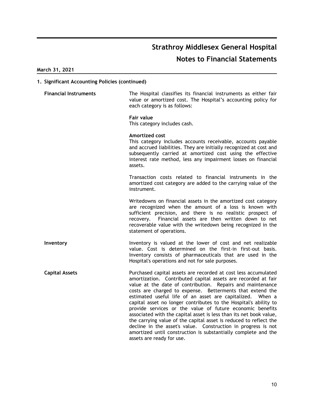## **Notes to Financial Statements**

**March 31, 2021**

#### **1. Significant Accounting Policies (continued)**

| <b>Financial Instruments</b> | The Hospital classifies its financial instruments as either fair<br>value or amortized cost. The Hospital's accounting policy for<br>each category is as follows:                                                                                                                                                                                                                                                                                                                                                                                                                                                                                                                                                                                                   |  |  |
|------------------------------|---------------------------------------------------------------------------------------------------------------------------------------------------------------------------------------------------------------------------------------------------------------------------------------------------------------------------------------------------------------------------------------------------------------------------------------------------------------------------------------------------------------------------------------------------------------------------------------------------------------------------------------------------------------------------------------------------------------------------------------------------------------------|--|--|
|                              | Fair value<br>This category includes cash.                                                                                                                                                                                                                                                                                                                                                                                                                                                                                                                                                                                                                                                                                                                          |  |  |
|                              | Amortized cost<br>This category includes accounts receivable, accounts payable<br>and accrued liabilities. They are initially recognized at cost and<br>subsequently carried at amortized cost using the effective<br>interest rate method, less any impairment losses on financial<br>assets.                                                                                                                                                                                                                                                                                                                                                                                                                                                                      |  |  |
|                              | Transaction costs related to financial instruments in the<br>amortized cost category are added to the carrying value of the<br>instrument.                                                                                                                                                                                                                                                                                                                                                                                                                                                                                                                                                                                                                          |  |  |
|                              | Writedowns on financial assets in the amortized cost category<br>are recognized when the amount of a loss is known with<br>sufficient precision, and there is no realistic prospect of<br>Financial assets are then written down to net<br>recovery.<br>recoverable value with the writedown being recognized in the<br>statement of operations.                                                                                                                                                                                                                                                                                                                                                                                                                    |  |  |
| Inventory                    | Inventory is valued at the lower of cost and net realizable<br>value. Cost is determined on the first-in first-out basis.<br>Inventory consists of pharmaceuticals that are used in the<br>Hospital's operations and not for sale purposes.                                                                                                                                                                                                                                                                                                                                                                                                                                                                                                                         |  |  |
| <b>Capital Assets</b>        | Purchased capital assets are recorded at cost less accumulated<br>amortization. Contributed capital assets are recorded at fair<br>value at the date of contribution. Repairs and maintenance<br>costs are charged to expense. Betterments that extend the<br>estimated useful life of an asset are capitalized. When a<br>capital asset no longer contributes to the Hospital's ability to<br>provide services or the value of future economic benefits<br>associated with the capital asset is less than its net book value,<br>the carrying value of the capital asset is reduced to reflect the<br>decline in the asset's value. Construction in progress is not<br>amortized until construction is substantially complete and the<br>assets are ready for use. |  |  |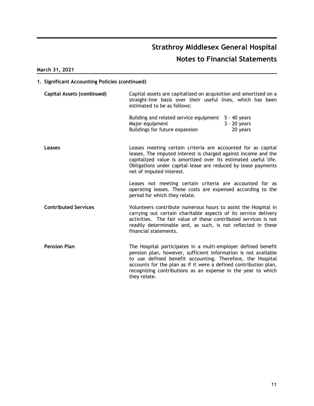**March 31, 2021**

| 1. Significant Accounting Policies (continued) |                                                                                                                                                                                                                                                                                                                                                   |
|------------------------------------------------|---------------------------------------------------------------------------------------------------------------------------------------------------------------------------------------------------------------------------------------------------------------------------------------------------------------------------------------------------|
| <b>Capital Assets (continued)</b>              | Capital assets are capitalized on acquisition and amortized on a<br>straight-line basis over their useful lives, which has been<br>estimated to be as follows:                                                                                                                                                                                    |
|                                                | Building and related service equipment<br>$5 - 40$ years<br>$3 - 20$ years<br>Major equipment<br>Buildings for future expansion<br>20 years                                                                                                                                                                                                       |
| Leases                                         | Leases meeting certain criteria are accounted for as capital<br>leases. The imputed interest is charged against income and the<br>capitalized value is amortized over its estimated useful life.<br>Obligations under capital lease are reduced by lease payments<br>net of imputed interest.                                                     |
|                                                | Leases not meeting certain criteria are accounted for as<br>operating leases. These costs are expensed according to the<br>period for which they relate.                                                                                                                                                                                          |
| <b>Contributed Services</b>                    | Volunteers contribute numerous hours to assist the Hospital in<br>carrying out certain charitable aspects of its service delivery<br>activities. The fair value of these contributed services is not<br>readily determinable and, as such, is not reflected in these<br>financial statements.                                                     |
| <b>Pension Plan</b>                            | The Hospital participates in a multi-employer defined benefit<br>pension plan, however, sufficient information is not available<br>to use defined benefit accounting. Therefore, the Hospital<br>accounts for the plan as if it were a defined contribution plan,<br>recognizing contributions as an expense in the year to which<br>they relate. |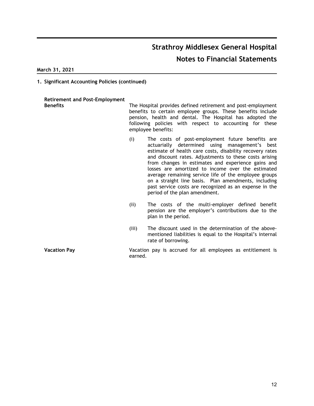**March 31, 2021**

### **1. Significant Accounting Policies (continued)**

| <b>Retirement and Post-Employment</b><br><b>Benefits</b> |         | The Hospital provides defined retirement and post-employment<br>benefits to certain employee groups. These benefits include<br>pension, health and dental. The Hospital has adopted the<br>following policies with respect to accounting for these<br>employee benefits:                                                                                                                                                                                                                                                                        |
|----------------------------------------------------------|---------|-------------------------------------------------------------------------------------------------------------------------------------------------------------------------------------------------------------------------------------------------------------------------------------------------------------------------------------------------------------------------------------------------------------------------------------------------------------------------------------------------------------------------------------------------|
|                                                          | (i)     | The costs of post-employment future benefits are<br>actuarially determined using management's best<br>estimate of health care costs, disability recovery rates<br>and discount rates. Adjustments to these costs arising<br>from changes in estimates and experience gains and<br>losses are amortized to income over the estimated<br>average remaining service life of the employee groups<br>on a straight line basis. Plan amendments, including<br>past service costs are recognized as an expense in the<br>period of the plan amendment. |
|                                                          | (i)     | The costs of the multi-employer defined benefit<br>pension are the employer's contributions due to the<br>plan in the period.                                                                                                                                                                                                                                                                                                                                                                                                                   |
|                                                          | (iii)   | The discount used in the determination of the above-<br>mentioned liabilities is equal to the Hospital's internal<br>rate of borrowing.                                                                                                                                                                                                                                                                                                                                                                                                         |
| <b>Vacation Pay</b>                                      | earned. | Vacation pay is accrued for all employees as entitlement is                                                                                                                                                                                                                                                                                                                                                                                                                                                                                     |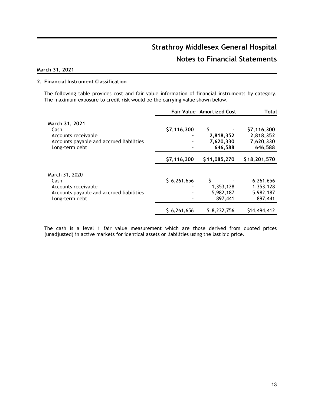#### **March 31, 2021**

#### **2. Financial Instrument Classification**

The following table provides cost and fair value information of financial instruments by category. The maximum exposure to credit risk would be the carrying value shown below.

|                                                                                                             |                  | <b>Fair Value Amortized Cost</b>        | <b>Total</b>                                     |
|-------------------------------------------------------------------------------------------------------------|------------------|-----------------------------------------|--------------------------------------------------|
| March 31, 2021<br>Cash<br>Accounts receivable<br>Accounts payable and accrued liabilities<br>Long-term debt | \$7,116,300      | \$<br>2,818,352<br>7,620,330<br>646,588 | \$7,116,300<br>2,818,352<br>7,620,330<br>646,588 |
|                                                                                                             | \$7,116,300      | \$11,085,270                            | \$18,201,570                                     |
| March 31, 2020<br>Cash<br>Accounts receivable<br>Accounts payable and accrued liabilities<br>Long-term debt | \$6,261,656<br>٠ | 1,353,128<br>5,982,187<br>897,441       | 6,261,656<br>1,353,128<br>5,982,187<br>897,441   |
|                                                                                                             | \$6,261,656      | \$8,232,756                             | \$14,494,412                                     |

The cash is a level 1 fair value measurement which are those derived from quoted prices (unadjusted) in active markets for identical assets or liabilities using the last bid price.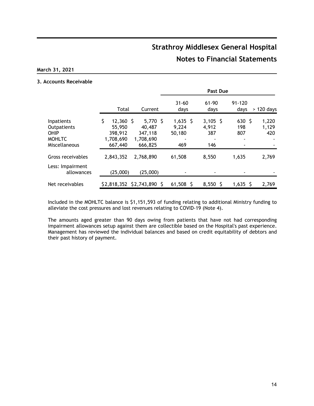#### **March 31, 2021**

#### **3. Accounts Receivable**

|                                                                            |                                                                |                                                         | <b>Past Due</b>                      |                                        |                      |                       |
|----------------------------------------------------------------------------|----------------------------------------------------------------|---------------------------------------------------------|--------------------------------------|----------------------------------------|----------------------|-----------------------|
|                                                                            | Total                                                          | Current                                                 | $31 - 60$<br>days                    | $61 - 90$<br>days                      | $91 - 120$<br>days   | $> 120$ days          |
| Inpatients<br>Outpatients<br><b>OHIP</b><br><b>MOHLTC</b><br>Miscellaneous | \$<br>$12,360$ \$<br>55,950<br>398,912<br>1,708,690<br>667,440 | $5,770$ \$<br>40,487<br>347,118<br>1,708,690<br>666,825 | $1,635$ \$<br>9,224<br>50,180<br>469 | $3,105$ \$<br>4,912<br>387<br>٠<br>146 | 630 \$<br>198<br>807 | 1,220<br>1,129<br>420 |
| Gross receivables                                                          | 2,843,352                                                      | 2,768,890                                               | 61,508                               | 8,550                                  | 1,635                | 2,769                 |
| Less: Impairment<br>allowances                                             | (25,000)                                                       | (25,000)                                                |                                      |                                        |                      |                       |
| Net receivables                                                            |                                                                | \$2,818,352 \$2,743,890 \$                              | $61,508$ \$                          | $8,550$ \$                             | $1,635$ \$           | 2,769                 |

Included in the MOHLTC balance is \$1,151,593 of funding relating to additional Ministry funding to alleviate the cost pressures and lost revenues relating to COVID-19 (Note 4).

The amounts aged greater than 90 days owing from patients that have not had corresponding impairment allowances setup against them are collectible based on the Hospital's past experience. Management has reviewed the individual balances and based on credit equitability of debtors and their past history of payment.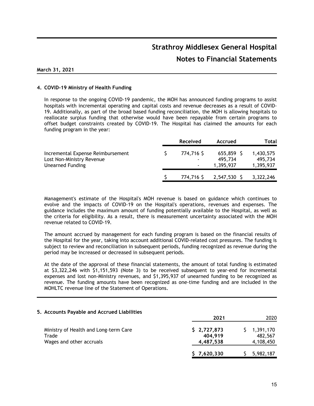#### **March 31, 2021**

#### **4. COVID-19 Ministry of Health Funding**

In response to the ongoing COVID-19 pandemic, the MOH has announced funding programs to assist hospitals with incremental operating and capital costs and revenue decreases as a result of COVID-19. Additionally, as part of the broad based funding reconciliation, the MOH is allowing hospitals to reallocate surplus funding that otherwise would have been repayable from certain programs to offset budget constraints created by COVID-19. The Hospital has claimed the amounts for each funding program in the year:

|                                                                                    | <b>Received</b>                            | Accrued                         | Total                             |
|------------------------------------------------------------------------------------|--------------------------------------------|---------------------------------|-----------------------------------|
| Incremental Expense Reimbursement<br>Lost Non-Ministry Revenue<br>Unearned Funding | 774,716 S<br>$\overline{\phantom{0}}$<br>۰ | 655,859<br>495,734<br>1,395,937 | 1,430,575<br>495,734<br>1,395,937 |
|                                                                                    | 774,716 \$                                 | 2,547,530 \$                    | 3,322,246                         |

Management's estimate of the Hospital's MOH revenue is based on guidance which continues to evolve and the impacts of COVID-19 on the Hospital's operations, revenues and expenses. The guidance includes the maximum amount of funding potentially available to the Hospital, as well as the criteria for eligibility. As a result, there is measurement uncertainty associated with the MOH revenue related to COVID-19.

The amount accrued by management for each funding program is based on the financial results of the Hospital for the year, taking into account additional COVID-related cost pressures. The funding is subject to review and reconciliation in subsequent periods, funding recognized as revenue during the period may be increased or decreased in subsequent periods.

At the date of the approval of these financial statements, the amount of total funding is estimated at \$3,322,246 with \$1,151,593 (Note 3) to be received subsequent to year-end for incremental expenses and lost non-Ministry revenues, and \$1,395,937 of unearned funding to be recognized as revenue. The funding amounts have been recognized as one-time funding and are included in the MOHLTC revenue line of the Statement of Operations.

| 5. Accounts Payable and Accrued Liabilities |             |           |
|---------------------------------------------|-------------|-----------|
|                                             | 2021        | 2020      |
| Ministry of Health and Long-term Care       | \$2,727,873 | 1,391,170 |
| Trade                                       | 404,919     | 482,567   |
| Wages and other accruals                    | 4,487,538   | 4,108,450 |
|                                             | \$7,620,330 | 5,982,187 |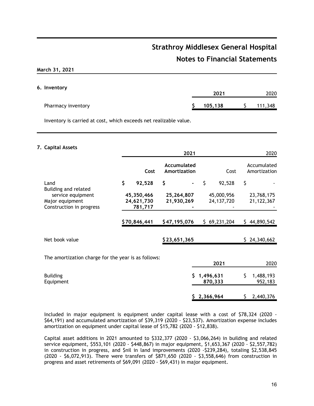#### **March 31, 2021**

| 6. Inventory       | 2021    | 2020    |
|--------------------|---------|---------|
| Pharmacy inventory | 105,138 | 111,348 |

Inventory is carried at cost, which exceeds net realizable value.

#### **7. Capital Assets**

|                                                                                                  |                                                     |                                | 2021                        |                      |                                      |    | 2020                        |
|--------------------------------------------------------------------------------------------------|-----------------------------------------------------|--------------------------------|-----------------------------|----------------------|--------------------------------------|----|-----------------------------|
|                                                                                                  | Cost                                                |                                | Accumulated<br>Amortization |                      | Cost                                 |    | Accumulated<br>Amortization |
| Land<br>Building and related<br>service equipment<br>Major equipment<br>Construction in progress | \$<br>92,528<br>45,350,466<br>24,621,730<br>781,717 | \$<br>25,264,807<br>21,930,269 |                             | \$                   | 92,528<br>45,000,956<br>24, 137, 720 | \$ | 23,768,175<br>21, 122, 367  |
|                                                                                                  | \$70,846,441                                        | \$47,195,076                   |                             |                      | \$69,231,204                         |    | \$44,890,542                |
| Net book value                                                                                   |                                                     | \$23,651,365                   |                             |                      |                                      |    | \$24,340,662                |
| The amortization charge for the year is as follows:                                              |                                                     |                                |                             |                      | 2021                                 |    | 2020                        |
| <b>Building</b><br>Equipment                                                                     |                                                     |                                |                             | 1,496,631<br>870,333 |                                      | \$ | 1,488,193<br>952,183        |
|                                                                                                  |                                                     |                                | S.                          | 2,366,964            |                                      | Ş. | 2,440,376                   |

Included in major equipment is equipment under capital lease with a cost of \$78,324 (2020 - \$64,191) and accumulated amortization of \$39,319 (2020 - \$23,537). Amortization expense includes amortization on equipment under capital lease of \$15,782 (2020 - \$12,838).

Capital asset additions in 2021 amounted to \$332,377 (2020 - \$3,066,264) in building and related service equipment, \$553,101 (2020 - \$448,867) in major equipment, \$1,653,367 (2020 - \$2,557,782) in construction in progress, and \$nil in land improvements (2020 -\$239,284), totaling \$2,538,845 (2020 - \$6,072,913). There were transfers of \$871,650 (2020 - \$3,558,646) from construction in progress and asset retirements of \$69,091 (2020 - \$69,431) in major equipment.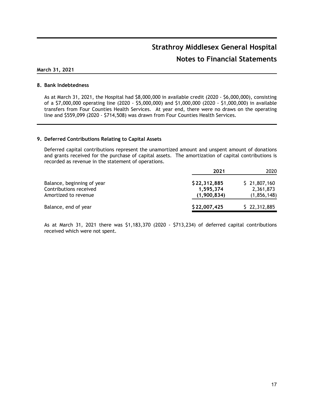### **Notes to Financial Statements**

#### **March 31, 2021**

#### **8. Bank Indebtedness**

As at March 31, 2021, the Hospital had \$8,000,000 in available credit (2020 - \$6,000,000), consisting of a \$7,000,000 operating line (2020 - \$5,000,000) and \$1,000,000 (2020 - \$1,000,000) in available transfers from Four Counties Health Services. At year end, there were no draws on the operating line and \$559,099 (2020 - \$714,508) was drawn from Four Counties Health Services.

#### **9. Deferred Contributions Relating to Capital Assets**

Deferred capital contributions represent the unamortized amount and unspent amount of donations and grants received for the purchase of capital assets. The amortization of capital contributions is recorded as revenue in the statement of operations.

|                            | 2021         | 2020          |
|----------------------------|--------------|---------------|
| Balance, beginning of year | \$22,312,885 | \$21,807,160  |
| Contributions received     | 1,595,374    | 2,361,873     |
| Amortized to revenue       | (1,900,834)  | (1, 856, 148) |
| Balance, end of year       | \$22,007,425 | \$22,312,885  |
|                            |              |               |

As at March 31, 2021 there was \$1,183,370 (2020 - \$713,234) of deferred capital contributions received which were not spent.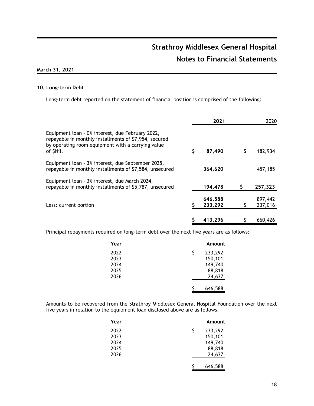#### **March 31, 2021**

#### **10. Long-term Debt**

Long-term debt reported on the statement of financial position is comprised of the following:

|                                                                                                                                                                             | 2021               | 2020               |
|-----------------------------------------------------------------------------------------------------------------------------------------------------------------------------|--------------------|--------------------|
| Equipment loan - 0% interest, due February 2022,<br>repayable in monthly installments of \$7,954, secured<br>by operating room equipment with a carrying value<br>of \$Nil. | \$<br>87,490       | 182,934            |
| Equipment loan - 3% interest, due September 2025,<br>repayable in monthly installments of \$7,584, unsecured                                                                | 364,620            | 457,185            |
| Equipment loan - 3% interest, due March 2024,<br>repayable in monthly installments of \$5,787, unsecured                                                                    | 194,478            | 257,323            |
| Less: current portion                                                                                                                                                       | 646,588<br>233,292 | 897,442<br>237,016 |
|                                                                                                                                                                             | 413,296            | 660,426            |

Principal repayments required on long-term debt over the next five years are as follows:

| Year |   | Amount  |
|------|---|---------|
| 2022 | S | 233,292 |
| 2023 |   | 150,101 |
| 2024 |   | 149,740 |
| 2025 |   | 88,818  |
| 2026 |   | 24,637  |
|      |   | 646,588 |

Amounts to be recovered from the Strathroy Middlesex General Hospital Foundation over the next five years in relation to the equipment loan disclosed above are as follows:

| Year |   | Amount  |
|------|---|---------|
| 2022 | Ş | 233,292 |
| 2023 |   | 150,101 |
| 2024 |   | 149,740 |
| 2025 |   | 88,818  |
| 2026 |   | 24,637  |
|      |   | 646,588 |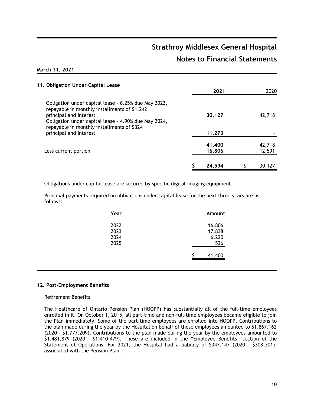#### **March 31, 2021**

| 11. Obligation Under Capital Lease                                                                                                                                                                                                   | 2021             | 2020             |
|--------------------------------------------------------------------------------------------------------------------------------------------------------------------------------------------------------------------------------------|------------------|------------------|
| Obligation under capital lease - 6.25% due May 2023,<br>repayable in monthly installments of \$1,242<br>principal and interest<br>Obligation under capital lease - 4.90% due May 2024,<br>repayable in monthly installments of \$324 | 30,127           | 42,718           |
| principal and interest                                                                                                                                                                                                               | 11,273           |                  |
| Less current portion                                                                                                                                                                                                                 | 41,400<br>16,806 | 42,718<br>12,591 |
|                                                                                                                                                                                                                                      | 24.594           | 30,127           |

Obligations under capital lease are secured by specific digital imaging equipment.

Principal payments required on obligations under capital lease for the next three years are as follows:

| Year                         | Amount                           |
|------------------------------|----------------------------------|
| 2022<br>2023<br>2024<br>2025 | 16,806<br>17,838<br>6,220<br>536 |
|                              | 41,400                           |

#### **12. Post-Employment Benefits**

#### Retirement Benefits

The Healthcare of Ontario Pension Plan (HOOPP) has substantially all of the full-time employees enrolled in it. On October 1, 2015, all part-time and non-full-time employees became eligible to join the Plan immediately. Some of the part-time employees are enrolled into HOOPP. Contributions to the plan made during the year by the Hospital on behalf of these employees amounted to \$1,867,162 (2020 - \$1,777,209). Contributions to the plan made during the year by the employees amounted to \$1,481,879 (2020 - \$1,410,479). These are included in the "Employee Benefits" section of the Statement of Operations. For 2021, the Hospital had a liability of \$347,147 (2020 - \$308,301), associated with the Pension Plan.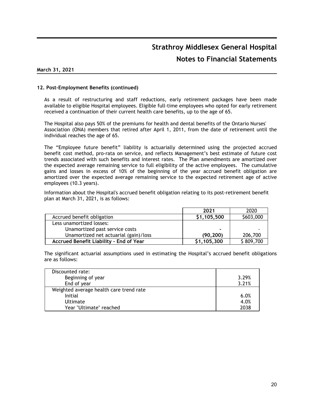#### **March 31, 2021**

#### **12. Post-Employment Benefits (continued)**

As a result of restructuring and staff reductions, early retirement packages have been made available to eligible Hospital employees. Eligible full-time employees who opted for early retirement received a continuation of their current health care benefits, up to the age of 65.

The Hospital also pays 50% of the premiums for health and dental benefits of the Ontario Nurses' Association (ONA) members that retired after April 1, 2011, from the date of retirement until the individual reaches the age of 65.

The "Employee future benefit" liability is actuarially determined using the projected accrued benefit cost method, pro-rata on service, and reflects Management's best estimate of future cost trends associated with such benefits and interest rates. The Plan amendments are amortized over the expected average remaining service to full eligibility of the active employees. The cumulative gains and losses in excess of 10% of the beginning of the year accrued benefit obligation are amortized over the expected average remaining service to the expected retirement age of active employees (10.3 years).

Information about the Hospital's accrued benefit obligation relating to its post-retirement benefit plan at March 31, 2021, is as follows:

|                                         | 2021                     | 2020      |
|-----------------------------------------|--------------------------|-----------|
| Accrued benefit obligation              | \$1,105,500              | \$603,000 |
| Less unamortized losses:                |                          |           |
| Unamortized past service costs          | $\overline{\phantom{a}}$ |           |
| Unamortized net actuarial (gain)/loss   | (90, 200)                | 206,700   |
| Accrued Benefit Liability - End of Year | \$1,105,300              | \$809,700 |

The significant actuarial assumptions used in estimating the Hospital's accrued benefit obligations are as follows:

| Discounted rate:                        |       |
|-----------------------------------------|-------|
| Beginning of year                       | 3.29% |
| End of year                             | 3.21% |
| Weighted average health care trend rate |       |
| Initial                                 | 6.0%  |
| Ultimate                                | 4.0%  |
| Year "Ultimate" reached                 | 2038  |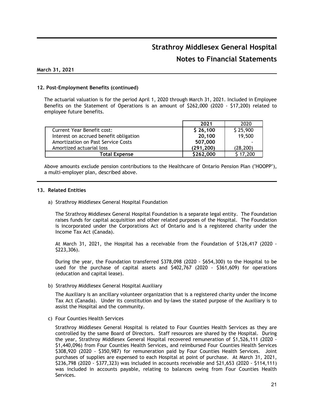### **Notes to Financial Statements**

#### **March 31, 2021**

#### **12. Post-Employment Benefits (continued)**

The actuarial valuation is for the period April 1, 2020 through March 31, 2021. Included in Employee Benefits on the Statement of Operations is an amount of \$262,000 (2020 - \$17,200) related to employee future benefits.

|                                        | 2021       | 2020      |
|----------------------------------------|------------|-----------|
| Current Year Benefit cost:             | \$26,100   | \$25,900  |
| Interest on accrued benefit obligation | 20,100     | 19,500    |
| Amortization on Past Service Costs     | 507,000    |           |
| Amortized actuarial loss               | (291, 200) | (28, 200) |
| <b>Total Expense</b>                   | \$262,000  | \$17,200  |

Above amounts exclude pension contributions to the Healthcare of Ontario Pension Plan ("HOOPP"), a multi-employer plan, described above.

#### **13. Related Entities**

a) Strathroy Middlesex General Hospital Foundation

The Strathroy Middlesex General Hospital Foundation is a separate legal entity. The Foundation raises funds for capital acquisition and other related purposes of the Hospital. The Foundation is incorporated under the Corporations Act of Ontario and is a registered charity under the Income Tax Act (Canada).

At March 31, 2021, the Hospital has a receivable from the Foundation of \$126,417 (2020 - \$223,306).

During the year, the Foundation transferred \$378,098 (2020 - \$654,300) to the Hospital to be used for the purchase of capital assets and \$402,767 (2020 - \$361,609) for operations (education and capital lease).

b) Strathroy Middlesex General Hospital Auxiliary

The Auxiliary is an ancillary volunteer organization that is a registered charity under the Income Tax Act (Canada). Under its constitution and by-laws the stated purpose of the Auxiliary is to assist the Hospital and the community.

c) Four Counties Health Services

Strathroy Middlesex General Hospital is related to Four Counties Health Services as they are controlled by the same Board of Directors. Staff resources are shared by the Hospital. During the year, Strathroy Middlesex General Hospital recovered remuneration of \$1,526,111 (2020 - \$1,440,096) from Four Counties Health Services, and reimbursed Four Counties Health Services \$308,920 (2020 - \$350,987) for remuneration paid by Four Counties Health Services. Joint purchases of supplies are expensed to each Hospital at point of purchase. At March 31, 2021, \$236,798 (2020 - \$377,323) was included in accounts receivable and \$21,653 (2020 - \$114,111) was included in accounts payable, relating to balances owing from Four Counties Health Services.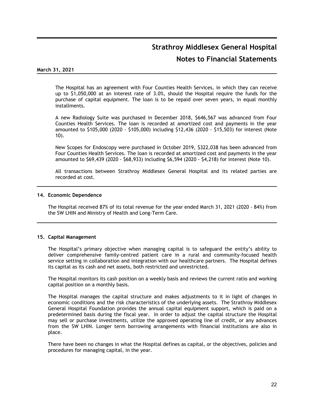### **Notes to Financial Statements**

#### **March 31, 2021**

The Hospital has an agreement with Four Counties Health Services, in which they can receive up to \$1,050,000 at an interest rate of 3.0%, should the Hospital require the funds for the purchase of capital equipment. The loan is to be repaid over seven years, in equal monthly installments.

A new Radiology Suite was purchased in December 2018, \$646,567 was advanced from Four Counties Health Services. The loan is recorded at amortized cost and payments in the year amounted to \$105,000 (2020 - \$105,000) including \$12,436 (2020 - \$15,503) for interest (Note 10).

New Scopes for Endoscopy were purchased in October 2019, \$322,038 has been advanced from Four Counties Health Services. The loan is recorded at amortized cost and payments in the year amounted to \$69,439 (2020 - \$68,933) including \$6,594 (2020 - \$4,218) for interest (Note 10).

All transactions between Strathroy Middlesex General Hospital and its related parties are recorded at cost.

#### **14. Economic Dependence**

The Hospital received 87% of its total revenue for the year ended March 31, 2021 (2020 - 84%) from the SW LHIN and Ministry of Health and Long-Term Care.

#### **15. Capital Management**

The Hospital's primary objective when managing capital is to safeguard the entity's ability to deliver comprehensive family-centred patient care in a rural and community-focused health service setting in collaboration and integration with our healthcare partners. The Hospital defines its capital as its cash and net assets, both restricted and unrestricted.

The Hospital monitors its cash position on a weekly basis and reviews the current ratio and working capital position on a monthly basis.

The Hospital manages the capital structure and makes adjustments to it in light of changes in economic conditions and the risk characteristics of the underlying assets. The Strathroy Middlesex General Hospital Foundation provides the annual capital equipment support, which is paid on a predetermined basis during the fiscal year. In order to adjust the capital structure the Hospital may sell or purchase investments, utilize the approved operating line of credit, or any advances from the SW LHIN. Longer term borrowing arrangements with financial institutions are also in place.

There have been no changes in what the Hospital defines as capital, or the objectives, policies and procedures for managing capital, in the year.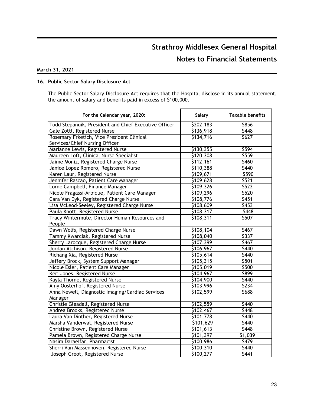## **Notes to Financial Statements**

#### **March 31, 2021**

#### **16. Public Sector Salary Disclosure Act**

The Public Sector Salary Disclosure Act requires that the Hospital disclose in its annual statement, the amount of salary and benefits paid in excess of \$100,000.

| For the Calendar year, 2020:                          | <b>Salary</b> | <b>Taxable benefits</b> |  |
|-------------------------------------------------------|---------------|-------------------------|--|
| Todd Stepanuik, President and Chief Executive Officer | \$202,183     | \$856                   |  |
| Gale Zottl, Registered Nurse                          | \$136,918     | \$448                   |  |
| Rosemary Frketich, Vice President Clinical            | \$134,716     | \$627                   |  |
| Services/Chief Nursing Officer                        |               |                         |  |
| Marianne Lewis, Registered Nurse                      | \$130,355     | \$594                   |  |
| Maureen Loft, Clinical Nurse Specialist               | \$120,308     | \$559                   |  |
| Jaime Moniz, Registered Charge Nurse                  | \$112,161     | \$460                   |  |
| Janice Lopez Romero, Registered Nurse                 | \$110,388     | \$440                   |  |
| Karen Laur, Registered Nurse                          | \$109,671     | \$590                   |  |
| Jennifer Rascao, Patient Care Manager                 | \$109,628     | \$521                   |  |
| Lorne Campbell, Finance Manager                       | \$109,326     | \$522                   |  |
| Nicole Fragassi-Arbique, Patient Care Manager         | \$109,296     | \$520                   |  |
| Cara Van Dyk, Registered Charge Nurse                 | \$108,776     | \$451                   |  |
| Lisa McLeod-Seeley, Registered Charge Nurse           | \$108,609     | \$453                   |  |
| Paula Knott, Registered Nurse                         | \$108,317     | \$448                   |  |
| Tracy Wintermute, Director Human Resources and        | \$108,311     | \$507                   |  |
| People                                                |               |                         |  |
| Dawn Wolfs, Registered Charge Nurse                   | \$108,104     | \$467                   |  |
| Tammy Kwarciak, Registered Nurse                      | \$108,040     | \$337                   |  |
| Sherry Larocque, Registered Charge Nurse              | \$107,399     | \$467                   |  |
| Jordan Atchison, Registered Nurse                     | \$106,967     | \$440                   |  |
| Richang Xia, Registered Nurse                         | \$105,614     | \$440                   |  |
| Jeffery Brock, System Support Manager                 | \$105,315     | \$501                   |  |
| Nicole Esler, Patient Care Manager                    | \$105,019     | \$500                   |  |
| Keri Jones, Registered Nurse                          | \$104,967     | \$899                   |  |
| Kayla Thorne, Registered Nurse                        | \$104,900     | \$440                   |  |
| Amy Oosterhof, Registered Nurse                       | \$103,996     | \$234                   |  |
| Anna Newell, Diagnostic Imaging/Cardiac Services      | \$102,599     | \$688                   |  |
| Manager                                               |               |                         |  |
| Christie Gleadall, Registered Nurse                   | \$102,559     | \$440                   |  |
| Andrea Brooks, Registered Nurse                       | \$102,467     | \$448                   |  |
| Laura Van Dinther, Registered Nurse                   | \$101,778     | \$440                   |  |
| Marsha Vanderwal, Registered Nurse                    | \$101,629     | \$440                   |  |
| Christine Brown, Registered Nurse                     | \$101,613     | \$448                   |  |
| Pamela Brown, Registered Charge Nurse                 | \$101,397     | \$1,039                 |  |
| Nasim Daraeifar, Pharmacist                           | \$100,986     | \$479                   |  |
| Sherri Van Massenhoven, Registered Nurse              | \$100,310     | \$440                   |  |
| Joseph Groot, Registered Nurse                        | \$100,277     | \$441                   |  |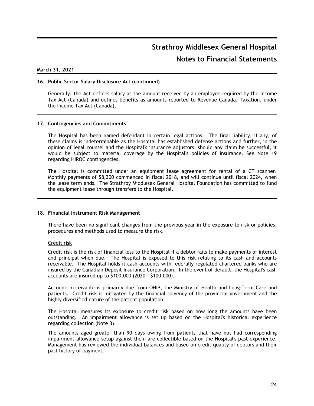### **Notes to Financial Statements**

#### **March 31, 2021**

#### **16. Public Sector Salary Disclosure Act (continued)**

Generally, the Act defines salary as the amount received by an employee required by the Income Tax Act (Canada) and defines benefits as amounts reported to Revenue Canada, Taxation, under the Income Tax Act (Canada).

#### **17. Contingencies and Commitments**

The Hospital has been named defendant in certain legal actions. The final liability, if any, of these claims is indeterminable as the Hospital has established defense actions and further, in the opinion of legal counsel and the Hospital's insurance adjustors, should any claim be successful, it would be subject to material coverage by the Hospital's policies of insurance. See Note 19 regarding HIROC contingencies.

The Hospital is committed under an equipment lease agreement for rental of a CT scanner. Monthly payments of \$8,300 commenced in fiscal 2018, and will continue until fiscal 2024, when the lease term ends. The Strathroy Middlesex General Hospital Foundation has committed to fund the equipment lease through transfers to the Hospital.

#### **18. Financial Instrument Risk Management**

There have been no significant changes from the previous year in the exposure to risk or policies, procedures and methods used to measure the risk.

#### Credit risk

Credit risk is the risk of financial loss to the Hospital if a debtor fails to make payments of interest and principal when due. The Hospital is exposed to this risk relating to its cash and accounts receivable. The Hospital holds it cash accounts with federally regulated chartered banks who are insured by the Canadian Deposit Insurance Corporation. In the event of default, the Hospital's cash accounts are insured up to \$100,000 (2020 - \$100,000).

Accounts receivable is primarily due from OHIP, the Ministry of Health and Long-Term Care and patients. Credit risk is mitigated by the financial solvency of the provincial government and the highly diversified nature of the patient population.

The Hospital measures its exposure to credit risk based on how long the amounts have been outstanding. An impairment allowance is set up based on the Hospital's historical experience regarding collection (Note 3).

The amounts aged greater than 90 days owing from patients that have not had corresponding impairment allowance setup against them are collectible based on the Hospital's past experience. Management has reviewed the individual balances and based on credit quality of debtors and their past history of payment.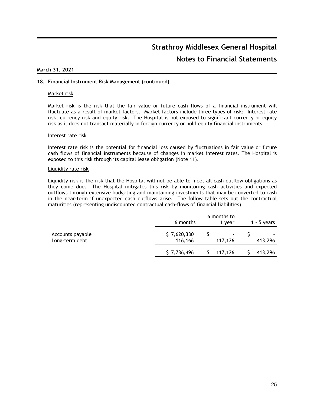#### **March 31, 2021**

#### **18. Financial Instrument Risk Management (continued)**

#### Market risk

Market risk is the risk that the fair value or future cash flows of a financial instrument will fluctuate as a result of market factors. Market factors include three types of risk: Interest rate risk, currency risk and equity risk. The Hospital is not exposed to significant currency or equity risk as it does not transact materially in foreign currency or hold equity financial instruments.

#### Interest rate risk

Interest rate risk is the potential for financial loss caused by fluctuations in fair value or future cash flows of financial instruments because of changes in market interest rates. The Hospital is exposed to this risk through its capital lease obligation (Note 11).

#### Liquidity rate risk

Liquidity risk is the risk that the Hospital will not be able to meet all cash outflow obligations as they come due. The Hospital mitigates this risk by monitoring cash activities and expected outflows through extensive budgeting and maintaining investments that may be converted to cash in the near-term if unexpected cash outflows arise. The follow table sets out the contractual maturities (representing undiscounted contractual cash-flows of financial liabilities):

|                                    | 6 months to            |  |              |  |             |
|------------------------------------|------------------------|--|--------------|--|-------------|
|                                    | 6 months               |  | 1 vear       |  | 1 - 5 years |
| Accounts payable<br>Long-term debt | \$7,620,330<br>116,166 |  | ۰<br>117,126 |  | 413,296     |
|                                    | \$7,736,496            |  | 117,126      |  | 413,296     |